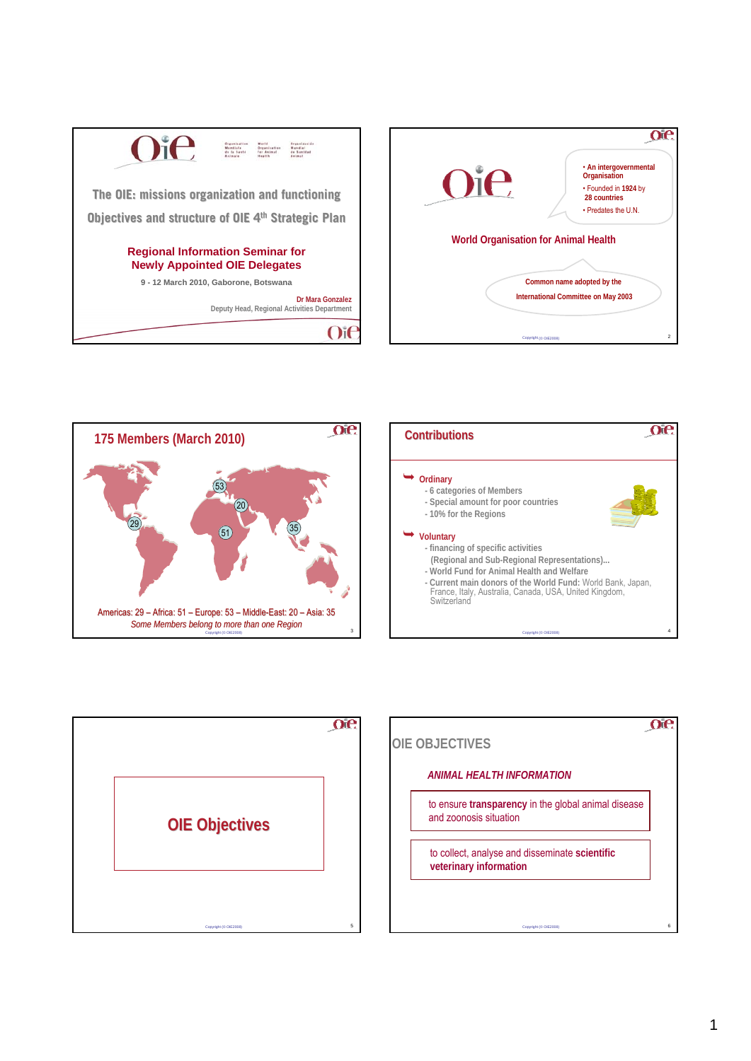







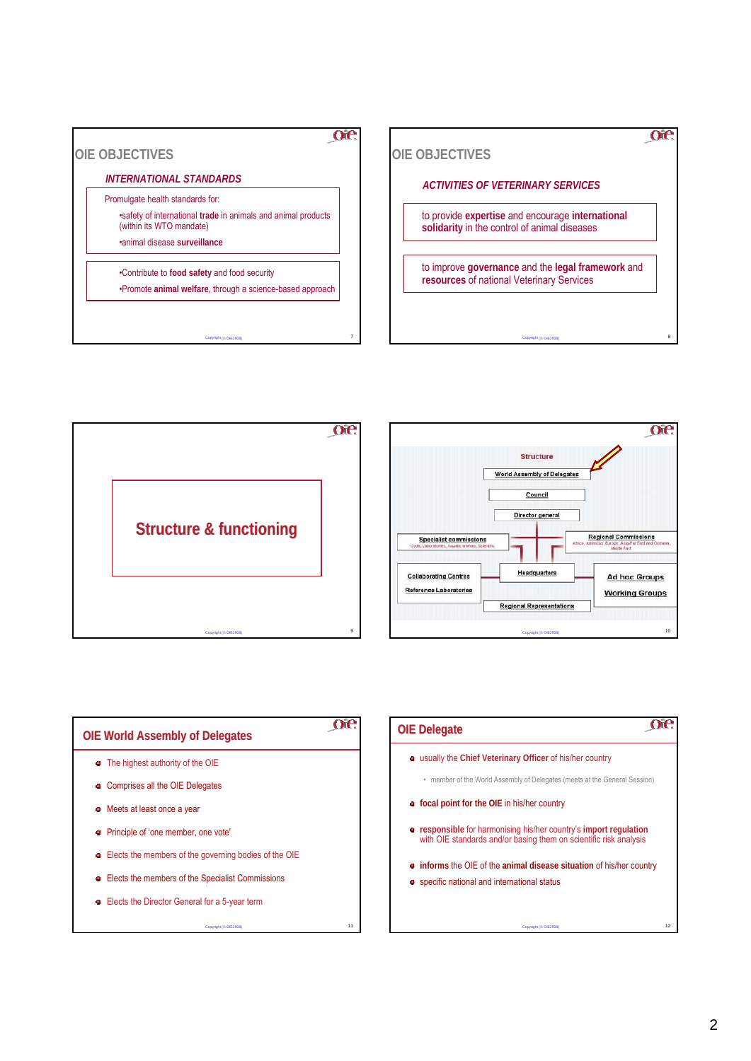







## oe **OIE World Assembly of Delegates OIE World Assembly of Delegates** The highest authority of the OIE **c** Comprises all the OIE Delegates Meets at least once a year Principle of 'one member, one vote' Elects the members of the governing bodies of the OIE Elects the members of the Specialist Commissions Elects the Director General for a 5-year term

Copyright (© OIE2008) 11

## $\alpha$ e **OIE Delegate OIE Delegate** usually the **Chief Veterinary Officer** of his/her country • member of the World Assembly of Delegates (meets at the General Session) **focal point for the OIE** in his/her country **responsible** for harmonising his/her country's **import regulation**  with OIE standards and/or basing them on scientific risk analysis **informs** the OIE of the **animal disease situation** of his/her country **•** specific national and international status

Copyright (© OIE2008) 12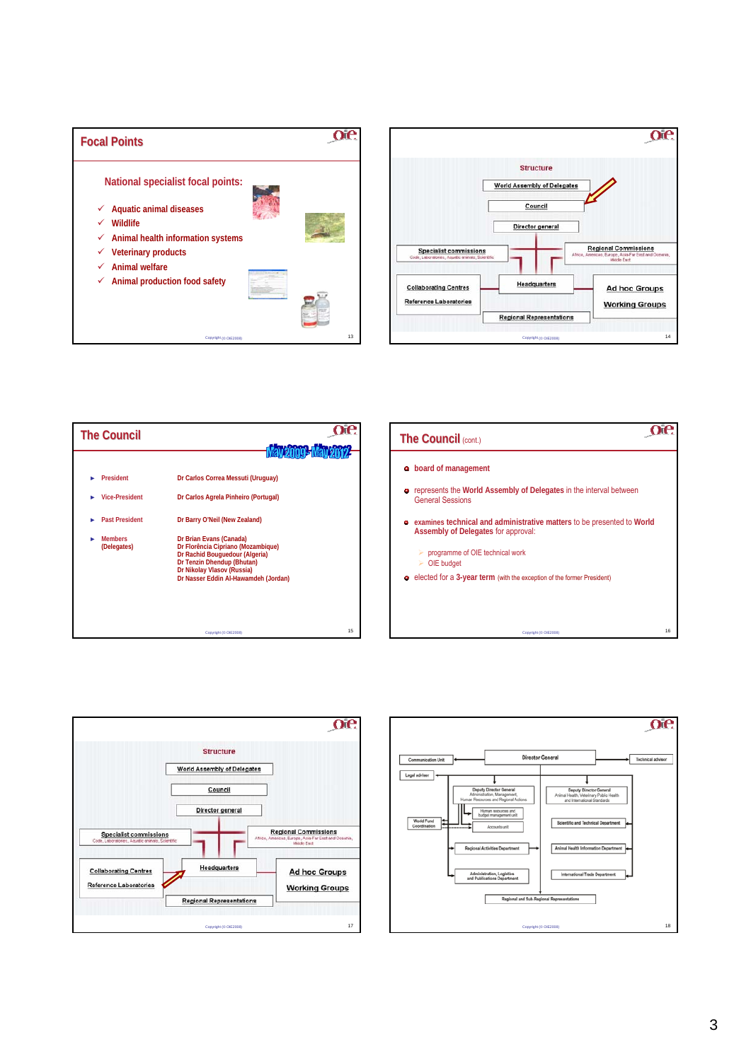







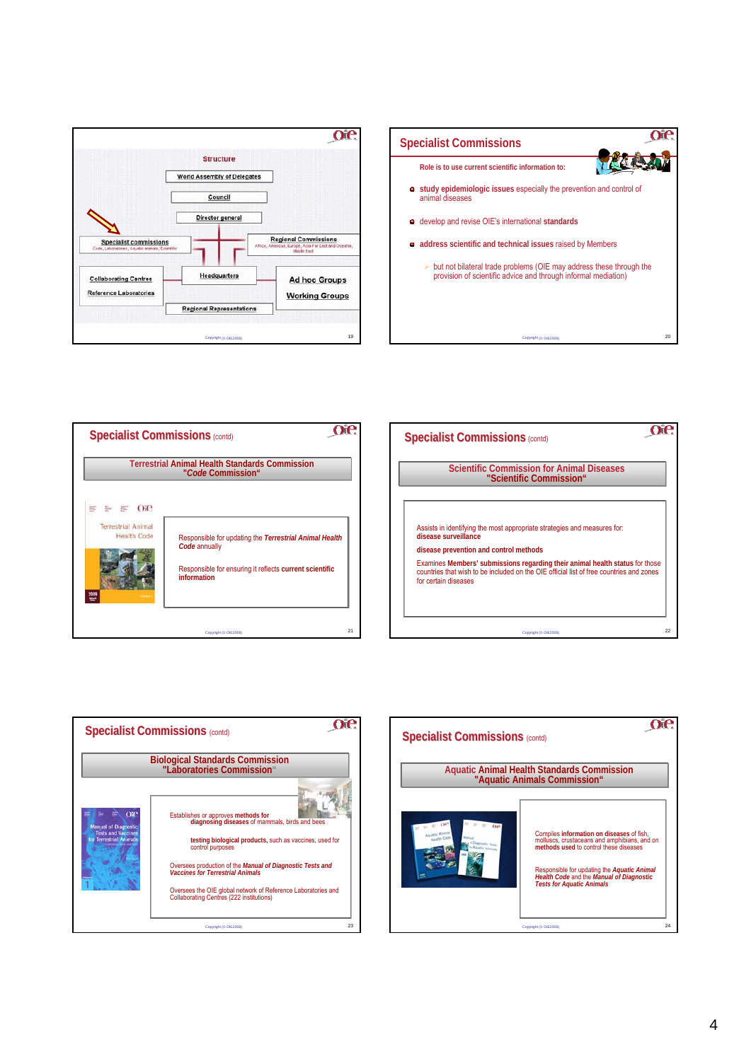







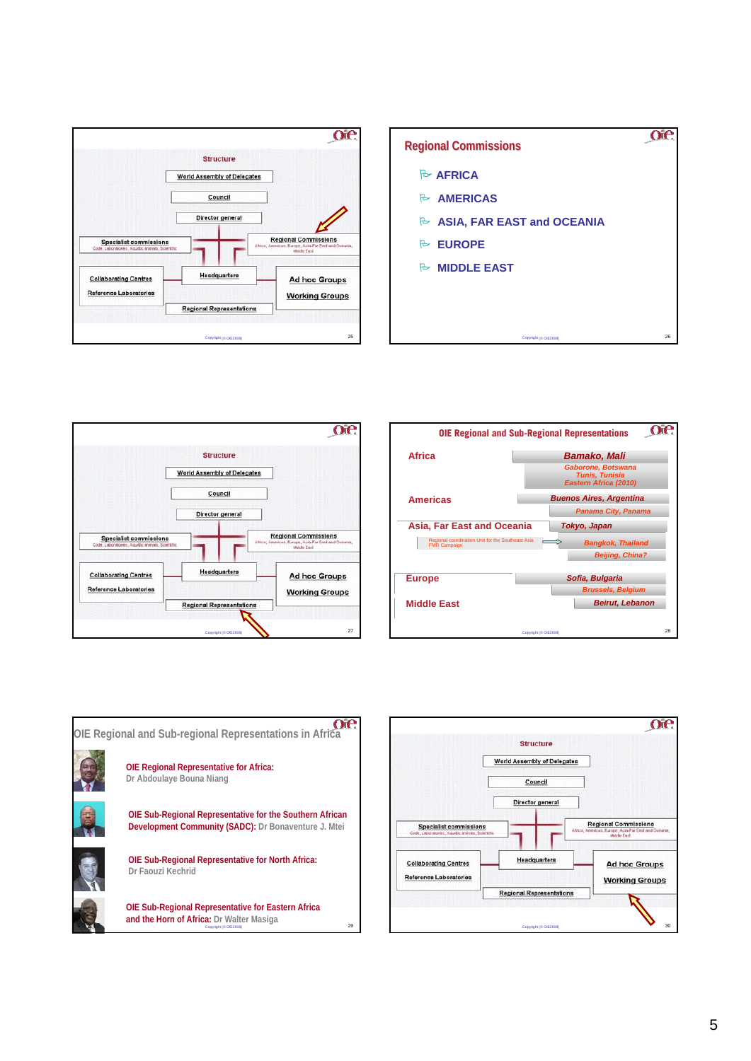









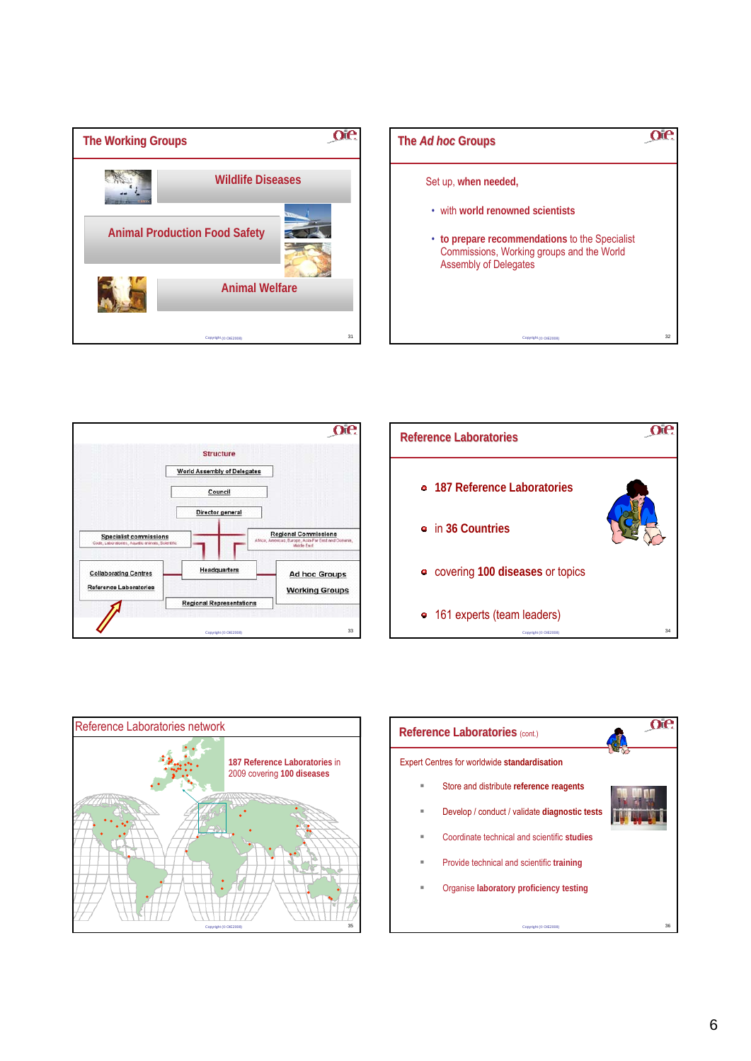









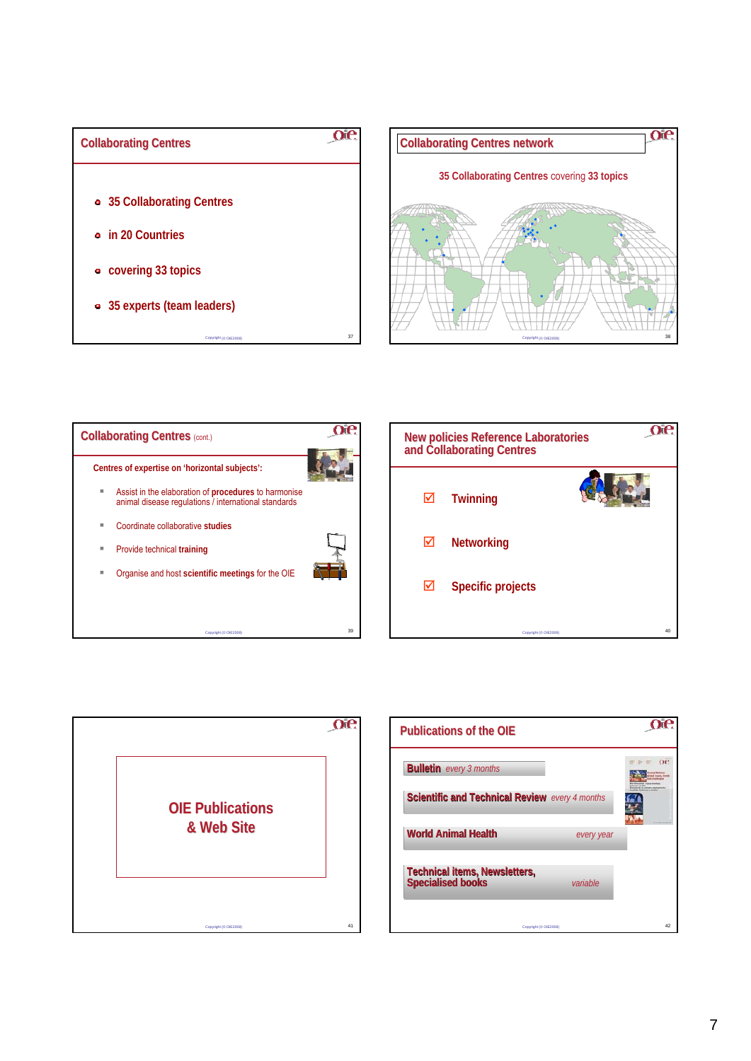









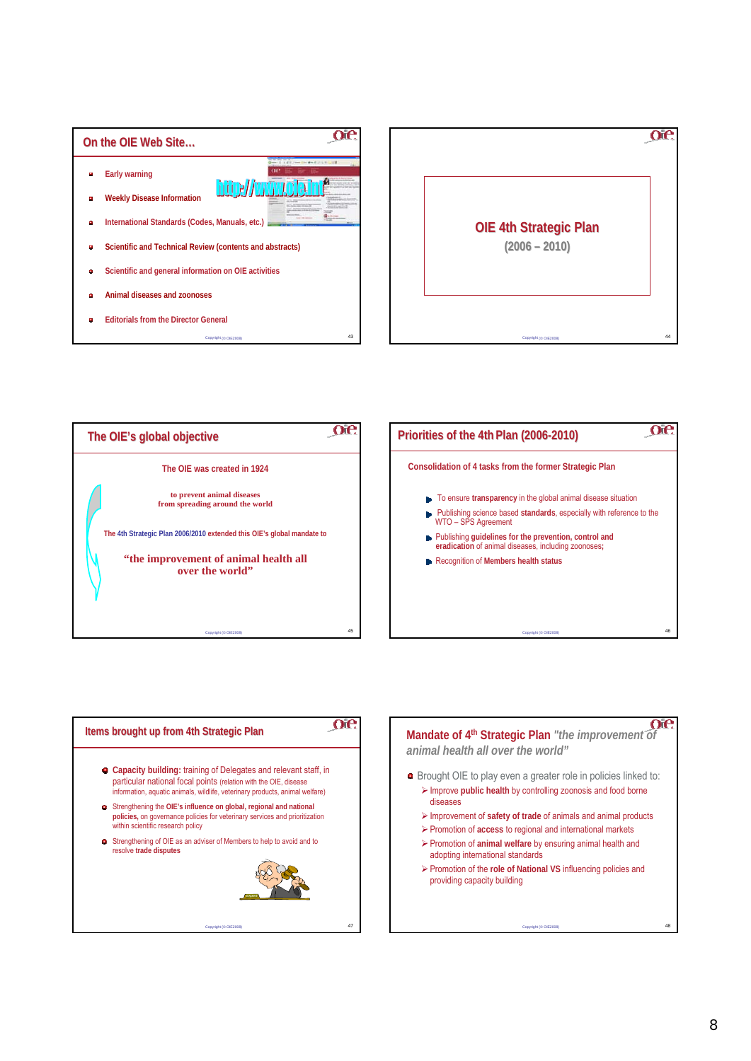